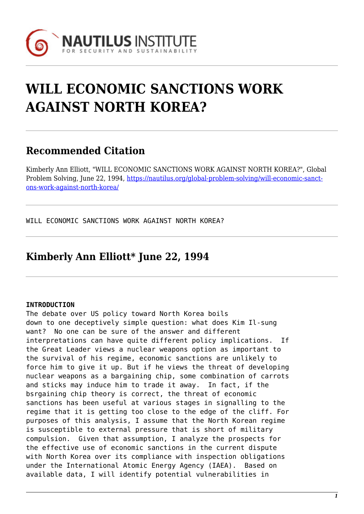

## **WILL ECONOMIC SANCTIONS WORK AGAINST NORTH KOREA?**

## **Recommended Citation**

Kimberly Ann Elliott, "WILL ECONOMIC SANCTIONS WORK AGAINST NORTH KOREA?", Global Problem Solving, June 22, 1994, [https://nautilus.org/global-problem-solving/will-economic-sanct](https://nautilus.org/global-problem-solving/will-economic-sanctions-work-against-north-korea/)[ons-work-against-north-korea/](https://nautilus.org/global-problem-solving/will-economic-sanctions-work-against-north-korea/)

WILL ECONOMIC SANCTIONS WORK AGAINST NORTH KOREA?

## **Kimberly Ann Elliott\* June 22, 1994**

## **INTRODUCTION**

The debate over US policy toward North Korea boils down to one deceptively simple question: what does Kim Il-sung want? No one can be sure of the answer and different interpretations can have quite different policy implications. If the Great Leader views a nuclear weapons option as important to the survival of his regime, economic sanctions are unlikely to force him to give it up. But if he views the threat of developing nuclear weapons as a bargaining chip, some combination of carrots and sticks may induce him to trade it away. In fact, if the bsrgaining chip theory is correct, the threat of economic sanctions has been useful at various stages in signalling to the regime that it is getting too close to the edge of the cliff. For purposes of this analysis, I assume that the North Korean regime is susceptible to external pressure that is short of military compulsion. Given that assumption, I analyze the prospects for the effective use of economic sanctions in the current dispute with North Korea over its compliance with inspection obligations under the International Atomic Energy Agency (IAEA). Based on available data, I will identify potential vulnerabilities in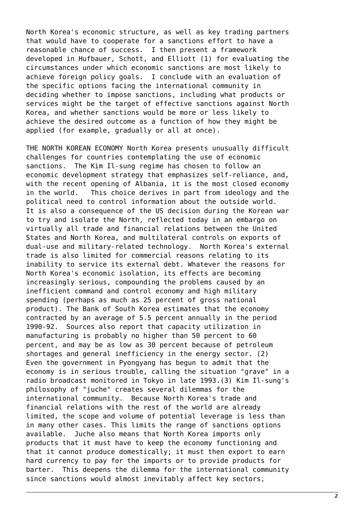North Korea's economic structure, as well as key trading partners that would have to cooperate for a sanctions effort to have a reasonable chance of success. I then present a framework developed in Hufbauer, Schott, and Elliott (1) for evaluating the circumstances under which economic sanctions are most likely to achieve foreign policy goals. I conclude with an evaluation of the specific options facing the international community in deciding whether to impose sanctions, including what products or services might be the target of effective sanctions against North Korea, and whether sanctions would be more or less likely to achieve the desired outcome as a function of how they might be applied (for example, gradually or all at once).

THE NORTH KOREAN ECONOMY North Korea presents unusually difficult challenges for countries contemplating the use of economic sanctions. The Kim Il-sung regime has chosen to follow an economic development strategy that emphasizes self-reliance, and, with the recent opening of Albania, it is the most closed economy in the world. This choice derives in part from ideology and the political need to control information about the outside world. It is also a consequence of the US decision during the Korean war to try and isolate the North, reflected today in an embargo on virtually all trade and financial relations between the United States and North Korea, and multilateral controls on exports of dual-use and military-related technology. North Korea's external trade is also limited for commercial reasons relating to its inability to service its external debt. Whatever the reasons for North Korea's economic isolation, its effects are becoming increasingly serious, compounding the problems caused by an inefficient command and control economy and high military spending (perhaps as much as 25 percent of gross national product). The Bank of South Korea estimates that the economy contracted by an average of 5.5 percent annually in the period 1990-92. Sources also report that capacity utilization in manufacturing is probably no higher than 50 percent to 60 percent, and may be as low as 30 percent because of petroleum shortages and general inefficiency in the energy sector. (2) Even the government in Pyongyang has begun to admit that the economy is in serious trouble, calling the situation "grave" in a radio broadcast monitored in Tokyo in late 1993.(3) Kim Il-sung's philosophy of "juche" creates several dilemmas for the international community. Because North Korea's trade and financial relations with the rest of the world are already limited, the scope and volume of potential leverage is less than in many other cases. This limits the range of sanctions options available. Juche also means that North Korea imports only products that it must have to keep the economy functioning and that it cannot produce domestically; it must then export to earn hard currency to pay for the imports or to provide products for barter. This deepens the dilemma for the international community since sanctions would almost inevitably affect key sectors,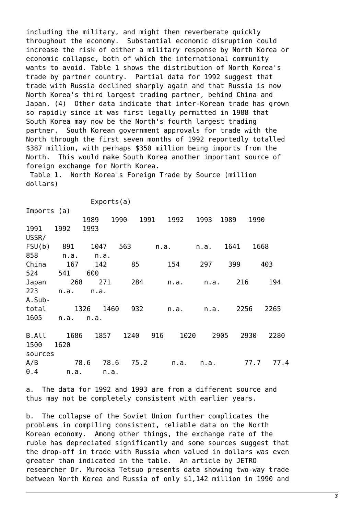including the military, and might then reverberate quickly throughout the economy. Substantial economic disruption could increase the risk of either a military response by North Korea or economic collapse, both of which the international community wants to avoid. Table 1 shows the distribution of North Korea's trade by partner country. Partial data for 1992 suggest that trade with Russia declined sharply again and that Russia is now North Korea's third largest trading partner, behind China and Japan. (4) Other data indicate that inter-Korean trade has grown so rapidly since it was first legally permitted in 1988 that South Korea may now be the North's fourth largest trading partner. South Korean government approvals for trade with the North through the first seven months of 1992 reportedly totalled \$387 million, with perhaps \$350 million being imports from the North. This would make South Korea another important source of foreign exchange for North Korea.

 Table 1. North Korea's Foreign Trade by Source (million dollars)

 Exports(a) Imports (a) 1989 1990 1991 1992 1993 1989 1990 1991 1992 1993 USSR/ FSU(b) 891 1047 563 n.a. n.a. 1641 1668 858 n.a. n.a. China 167 142 85 154 297 399 403 524 541 600 Japan 268 271 284 n.a. n.a. 216 194 223 n.a. n.a. A.Subtotal 1326 1460 932 n.a. n.a. 2256 2265 1605 n.a. n.a. B.All 1686 1857 1240 916 1020 2905 2930 2280 1500 1620 sources A/B 78.6 78.6 75.2 n.a. n.a. 77.7 77.4 0.4 n.a. n.a.

a. The data for 1992 and 1993 are from a different source and thus may not be completely consistent with earlier years.

b. The collapse of the Soviet Union further complicates the problems in compiling consistent, reliable data on the North Korean economy. Among other things, the exchange rate of the ruble has depreciated significantly and some sources suggest that the drop-off in trade with Russia when valued in dollars was even greater than indicated in the table. An article by JETRO researcher Dr. Murooka Tetsuo presents data showing two-way trade between North Korea and Russia of only \$1,142 million in 1990 and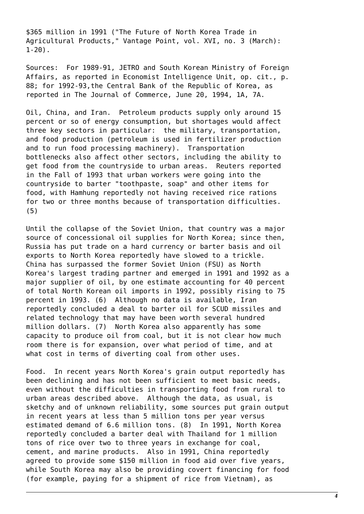\$365 million in 1991 ("The Future of North Korea Trade in Agricultural Products," Vantage Point, vol. XVI, no. 3 (March): 1-20).

Sources: For 1989-91, JETRO and South Korean Ministry of Foreign Affairs, as reported in Economist Intelligence Unit, op. cit., p. 88; for 1992-93,the Central Bank of the Republic of Korea, as reported in The Journal of Commerce, June 20, 1994, 1A, 7A.

Oil, China, and Iran. Petroleum products supply only around 15 percent or so of energy consumption, but shortages would affect three key sectors in particular: the military, transportation, and food production (petroleum is used in fertilizer production and to run food processing machinery). Transportation bottlenecks also affect other sectors, including the ability to get food from the countryside to urban areas. Reuters reported in the Fall of 1993 that urban workers were going into the countryside to barter "toothpaste, soap" and other items for food, with Hamhung reportedly not having received rice rations for two or three months because of transportation difficulties. (5)

Until the collapse of the Soviet Union, that country was a major source of concessional oil supplies for North Korea; since then, Russia has put trade on a hard currency or barter basis and oil exports to North Korea reportedly have slowed to a trickle. China has surpassed the former Soviet Union (FSU) as North Korea's largest trading partner and emerged in 1991 and 1992 as a major supplier of oil, by one estimate accounting for 40 percent of total North Korean oil imports in 1992, possibly rising to 75 percent in 1993. (6) Although no data is available, Iran reportedly concluded a deal to barter oil for SCUD missiles and related technology that may have been worth several hundred million dollars. (7) North Korea also apparently has some capacity to produce oil from coal, but it is not clear how much room there is for expansion, over what period of time, and at what cost in terms of diverting coal from other uses.

Food. In recent years North Korea's grain output reportedly has been declining and has not been sufficient to meet basic needs, even without the difficulties in transporting food from rural to urban areas described above. Although the data, as usual, is sketchy and of unknown reliability, some sources put grain output in recent years at less than 5 million tons per year versus estimated demand of 6.6 million tons. (8) In 1991, North Korea reportedly concluded a barter deal with Thailand for 1 million tons of rice over two to three years in exchange for coal, cement, and marine products. Also in 1991, China reportedly agreed to provide some \$150 million in food aid over five years, while South Korea may also be providing covert financing for food (for example, paying for a shipment of rice from Vietnam), as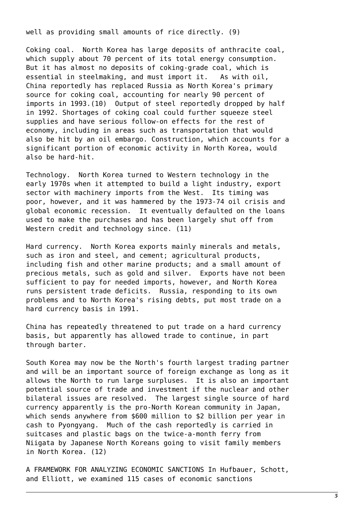well as providing small amounts of rice directly. (9)

Coking coal. North Korea has large deposits of anthracite coal, which supply about 70 percent of its total energy consumption. But it has almost no deposits of coking-grade coal, which is essential in steelmaking, and must import it. As with oil, China reportedly has replaced Russia as North Korea's primary source for coking coal, accounting for nearly 90 percent of imports in 1993.(10) Output of steel reportedly dropped by half in 1992. Shortages of coking coal could further squeeze steel supplies and have serious follow-on effects for the rest of economy, including in areas such as transportation that would also be hit by an oil embargo. Construction, which accounts for a significant portion of economic activity in North Korea, would also be hard-hit.

Technology. North Korea turned to Western technology in the early 1970s when it attempted to build a light industry, export sector with machinery imports from the West. Its timing was poor, however, and it was hammered by the 1973-74 oil crisis and global economic recession. It eventually defaulted on the loans used to make the purchases and has been largely shut off from Western credit and technology since. (11)

Hard currency. North Korea exports mainly minerals and metals, such as iron and steel, and cement; agricultural products, including fish and other marine products; and a small amount of precious metals, such as gold and silver. Exports have not been sufficient to pay for needed imports, however, and North Korea runs persistent trade deficits. Russia, responding to its own problems and to North Korea's rising debts, put most trade on a hard currency basis in 1991.

China has repeatedly threatened to put trade on a hard currency basis, but apparently has allowed trade to continue, in part through barter.

South Korea may now be the North's fourth largest trading partner and will be an important source of foreign exchange as long as it allows the North to run large surpluses. It is also an important potential source of trade and investment if the nuclear and other bilateral issues are resolved. The largest single source of hard currency apparently is the pro-North Korean community in Japan, which sends anywhere from \$600 million to \$2 billion per year in cash to Pyongyang. Much of the cash reportedly is carried in suitcases and plastic bags on the twice-a-month ferry from Niigata by Japanese North Koreans going to visit family members in North Korea. (12)

A FRAMEWORK FOR ANALYZING ECONOMIC SANCTIONS In Hufbauer, Schott, and Elliott, we examined 115 cases of economic sanctions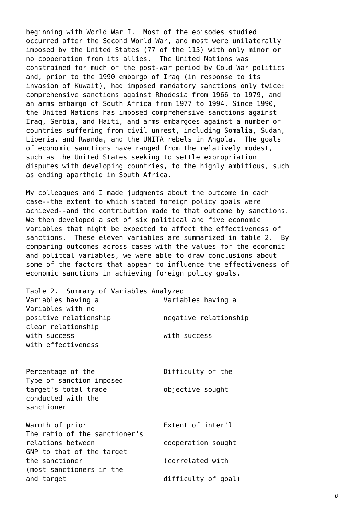beginning with World War I. Most of the episodes studied occurred after the Second World War, and most were unilaterally imposed by the United States (77 of the 115) with only minor or no cooperation from its allies. The United Nations was constrained for much of the post-war period by Cold War politics and, prior to the 1990 embargo of Iraq (in response to its invasion of Kuwait), had imposed mandatory sanctions only twice: comprehensive sanctions against Rhodesia from 1966 to 1979, and an arms embargo of South Africa from 1977 to 1994. Since 1990, the United Nations has imposed comprehensive sanctions against Iraq, Serbia, and Haiti, and arms embargoes against a number of countries suffering from civil unrest, including Somalia, Sudan, Liberia, and Rwanda, and the UNITA rebels in Angola. The goals of economic sanctions have ranged from the relatively modest, such as the United States seeking to settle expropriation disputes with developing countries, to the highly ambitious, such as ending apartheid in South Africa.

My colleagues and I made judgments about the outcome in each case--the extent to which stated foreign policy goals were achieved--and the contribution made to that outcome by sanctions. We then developed a set of six political and five economic variables that might be expected to affect the effectiveness of sanctions. These eleven variables are summarized in table 2. By comparing outcomes across cases with the values for the economic and politcal variables, we were able to draw conclusions about some of the factors that appear to influence the effectiveness of economic sanctions in achieving foreign policy goals.

| Table 2. Summary of Variables Analyzed     |                       |
|--------------------------------------------|-----------------------|
| Variables having a                         | Variables having a    |
| Variables with no                          |                       |
| positive relationship                      | negative relationship |
| clear relationship                         |                       |
| with success                               | with success          |
| with effectiveness                         |                       |
|                                            |                       |
|                                            |                       |
| Percentage of the                          | Difficulty of the     |
| Type of sanction imposed                   |                       |
| target's total trade<br>conducted with the | objective sought      |
| sanctioner                                 |                       |
|                                            |                       |
| Warmth of prior                            | Extent of inter'l     |
| The ratio of the sanctioner's              |                       |
| relations between                          | cooperation sought    |
| GNP to that of the target                  |                       |
| the sanctioner                             | (correlated with      |
| (most sanctioners in the                   |                       |
| and target                                 | difficulty of goal)   |
|                                            |                       |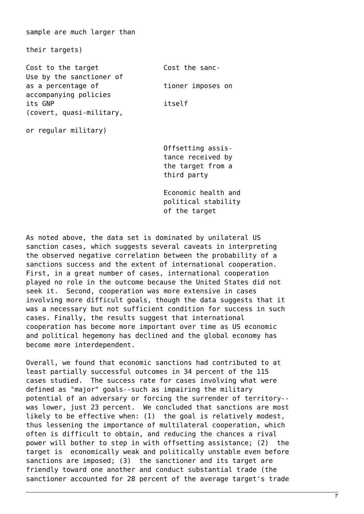sample are much larger than

their targets)

Cost to the target Cost the sanc-Use by the sanctioner of as a percentage of tioner imposes on accompanying policies its GNP itself (covert, quasi-military,

or regular military)

 Offsetting assis tance received by the target from a third party

 Economic health and political stability of the target

As noted above, the data set is dominated by unilateral US sanction cases, which suggests several caveats in interpreting the observed negative correlation between the probability of a sanctions success and the extent of international cooperation. First, in a great number of cases, international cooperation played no role in the outcome because the United States did not seek it. Second, cooperation was more extensive in cases involving more difficult goals, though the data suggests that it was a necessary but not sufficient condition for success in such cases. Finally, the results suggest that international cooperation has become more important over time as US economic and political hegemony has declined and the global economy has become more interdependent.

Overall, we found that economic sanctions had contributed to at least partially successful outcomes in 34 percent of the 115 cases studied. The success rate for cases involving what were defined as "major" goals--such as impairing the military potential of an adversary or forcing the surrender of territory- was lower, just 23 percent. We concluded that sanctions are most likely to be effective when: (1) the goal is relatively modest, thus lessening the importance of multilateral cooperation, which often is difficult to obtain, and reducing the chances a rival power will bother to step in with offsetting assistance; (2) the target is economically weak and politically unstable even before sanctions are imposed; (3) the sanctioner and its target are friendly toward one another and conduct substantial trade (the sanctioner accounted for 28 percent of the average target's trade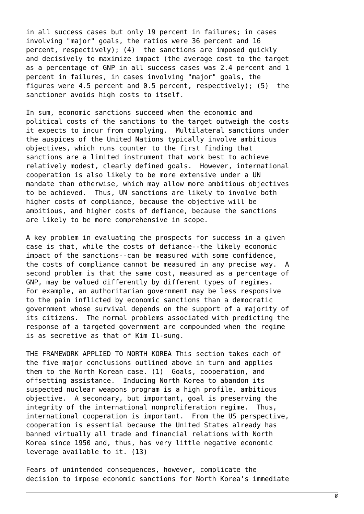in all success cases but only 19 percent in failures; in cases involving "major" goals, the ratios were 36 percent and 16 percent, respectively); (4) the sanctions are imposed quickly and decisively to maximize impact (the average cost to the target as a percentage of GNP in all success cases was 2.4 percent and 1 percent in failures, in cases involving "major" goals, the figures were 4.5 percent and 0.5 percent, respectively); (5) the sanctioner avoids high costs to itself.

In sum, economic sanctions succeed when the economic and political costs of the sanctions to the target outweigh the costs it expects to incur from complying. Multilateral sanctions under the auspices of the United Nations typically involve ambitious objectives, which runs counter to the first finding that sanctions are a limited instrument that work best to achieve relatively modest, clearly defined goals. However, international cooperation is also likely to be more extensive under a UN mandate than otherwise, which may allow more ambitious objectives to be achieved. Thus, UN sanctions are likely to involve both higher costs of compliance, because the objective will be ambitious, and higher costs of defiance, because the sanctions are likely to be more comprehensive in scope.

A key problem in evaluating the prospects for success in a given case is that, while the costs of defiance--the likely economic impact of the sanctions--can be measured with some confidence, the costs of compliance cannot be measured in any precise way. A second problem is that the same cost, measured as a percentage of GNP, may be valued differently by different types of regimes. For example, an authoritarian government may be less responsive to the pain inflicted by economic sanctions than a democratic government whose survival depends on the support of a majority of its citizens. The normal problems associated with predicting the response of a targeted government are compounded when the regime is as secretive as that of Kim Il-sung.

THE FRAMEWORK APPLIED TO NORTH KOREA This section takes each of the five major conclusions outlined above in turn and applies them to the North Korean case. (1) Goals, cooperation, and offsetting assistance. Inducing North Korea to abandon its suspected nuclear weapons program is a high profile, ambitious objective. A secondary, but important, goal is preserving the integrity of the international nonproliferation regime. Thus, international cooperation is important. From the US perspective, cooperation is essential because the United States already has banned virtually all trade and financial relations with North Korea since 1950 and, thus, has very little negative economic leverage available to it. (13)

Fears of unintended consequences, however, complicate the decision to impose economic sanctions for North Korea's immediate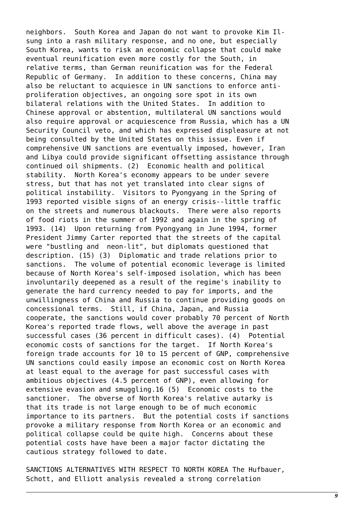neighbors. South Korea and Japan do not want to provoke Kim Ilsung into a rash military response, and no one, but especially South Korea, wants to risk an economic collapse that could make eventual reunification even more costly for the South, in relative terms, than German reunification was for the Federal Republic of Germany. In addition to these concerns, China may also be reluctant to acquiesce in UN sanctions to enforce antiproliferation objectives, an ongoing sore spot in its own bilateral relations with the United States. In addition to Chinese approval or abstention, multilateral UN sanctions would also require approval or acquiescence from Russia, which has a UN Security Council veto, and which has expressed displeasure at not being consulted by the United States on this issue. Even if comprehensive UN sanctions are eventually imposed, however, Iran and Libya could provide significant offsetting assistance through continued oil shipments. (2) Economic health and political stability. North Korea's economy appears to be under severe stress, but that has not yet translated into clear signs of political instability. Visitors to Pyongyang in the Spring of 1993 reported visible signs of an energy crisis--little traffic on the streets and numerous blackouts. There were also reports of food riots in the summer of 1992 and again in the spring of 1993. (14) Upon returning from Pyongyang in June 1994, former President Jimmy Carter reported that the streets of the capital were "bustling and neon-lit", but diplomats questioned that description. (15) (3) Diplomatic and trade relations prior to sanctions. The volume of potential economic leverage is limited because of North Korea's self-imposed isolation, which has been involuntarily deepened as a result of the regime's inability to generate the hard currency needed to pay for imports, and the unwillingness of China and Russia to continue providing goods on concessional terms. Still, if China, Japan, and Russia cooperate, the sanctions would cover probably 70 percent of North Korea's reported trade flows, well above the average in past successful cases (36 percent in difficult cases). (4) Potential economic costs of sanctions for the target. If North Korea's foreign trade accounts for 10 to 15 percent of GNP, comprehensive UN sanctions could easily impose an economic cost on North Korea at least equal to the average for past successful cases with ambitious objectives (4.5 percent of GNP), even allowing for extensive evasion and smuggling.16 (5) Economic costs to the sanctioner. The obverse of North Korea's relative autarky is that its trade is not large enough to be of much economic importance to its partners. But the potential costs if sanctions provoke a military response from North Korea or an economic and political collapse could be quite high. Concerns about these potential costs have have been a major factor dictating the cautious strategy followed to date.

SANCTIONS ALTERNATIVES WITH RESPECT TO NORTH KOREA The Hufbauer, Schott, and Elliott analysis revealed a strong correlation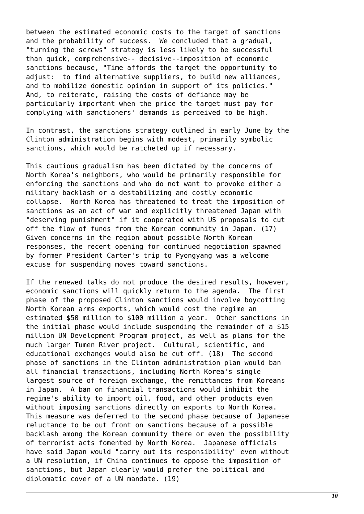between the estimated economic costs to the target of sanctions and the probability of success. We concluded that a gradual, "turning the screws" strategy is less likely to be successful than quick, comprehensive-- decisive--imposition of economic sanctions because, "Time affords the target the opportunity to adjust: to find alternative suppliers, to build new alliances, and to mobilize domestic opinion in support of its policies." And, to reiterate, raising the costs of defiance may be particularly important when the price the target must pay for complying with sanctioners' demands is perceived to be high.

In contrast, the sanctions strategy outlined in early June by the Clinton administration begins with modest, primarily symbolic sanctions, which would be ratcheted up if necessary.

This cautious gradualism has been dictated by the concerns of North Korea's neighbors, who would be primarily responsible for enforcing the sanctions and who do not want to provoke either a military backlash or a destabilizing and costly economic collapse. North Korea has threatened to treat the imposition of sanctions as an act of war and explicitly threatened Japan with "deserving punishment" if it cooperated with US proposals to cut off the flow of funds from the Korean community in Japan. (17) Given concerns in the region about possible North Korean responses, the recent opening for continued negotiation spawned by former President Carter's trip to Pyongyang was a welcome excuse for suspending moves toward sanctions.

If the renewed talks do not produce the desired results, however, economic sanctions will quickly return to the agenda. The first phase of the proposed Clinton sanctions would involve boycotting North Korean arms exports, which would cost the regime an estimated \$50 million to \$100 million a year. Other sanctions in the initial phase would include suspending the remainder of a \$15 million UN Development Program project, as well as plans for the much larger Tumen River project. Cultural, scientific, and educational exchanges would also be cut off. (18) The second phase of sanctions in the Clinton administration plan would ban all financial transactions, including North Korea's single largest source of foreign exchange, the remittances from Koreans in Japan. A ban on financial transactions would inhibit the regime's ability to import oil, food, and other products even without imposing sanctions directly on exports to North Korea. This measure was deferred to the second phase because of Japanese reluctance to be out front on sanctions because of a possible backlash among the Korean community there or even the possibility of terrorist acts fomented by North Korea. Japanese officials have said Japan would "carry out its responsibility" even without a UN resolution, if China continues to oppose the imposition of sanctions, but Japan clearly would prefer the political and diplomatic cover of a UN mandate. (19)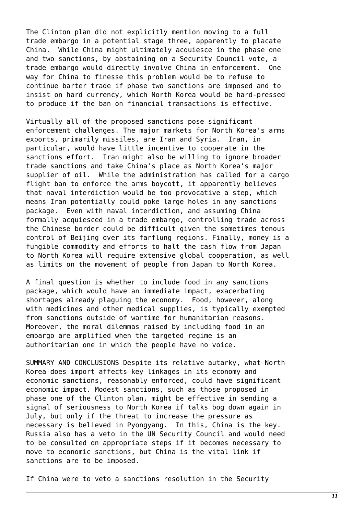The Clinton plan did not explicitly mention moving to a full trade embargo in a potential stage three, apparently to placate China. While China might ultimately acquiesce in the phase one and two sanctions, by abstaining on a Security Council vote, a trade embargo would directly involve China in enforcement. One way for China to finesse this problem would be to refuse to continue barter trade if phase two sanctions are imposed and to insist on hard currency, which North Korea would be hard-pressed to produce if the ban on financial transactions is effective.

Virtually all of the proposed sanctions pose significant enforcement challenges. The major markets for North Korea's arms exports, primarily missiles, are Iran and Syria. Iran, in particular, would have little incentive to cooperate in the sanctions effort. Iran might also be willing to ignore broader trade sanctions and take China's place as North Korea's major supplier of oil. While the administration has called for a cargo flight ban to enforce the arms boycott, it apparently believes that naval interdiction would be too provocative a step, which means Iran potentially could poke large holes in any sanctions package. Even with naval interdiction, and assuming China formally acquiesced in a trade embargo, controlling trade across the Chinese border could be difficult given the sometimes tenous control of Beijing over its farflung regions. Finally, money is a fungible commodity and efforts to halt the cash flow from Japan to North Korea will require extensive global cooperation, as well as limits on the movement of people from Japan to North Korea.

A final question is whether to include food in any sanctions package, which would have an immediate impact, exacerbating shortages already plaguing the economy. Food, however, along with medicines and other medical supplies, is typically exempted from sanctions outside of wartime for humanitarian reasons. Moreover, the moral dilemmas raised by including food in an embargo are amplified when the targeted regime is an authoritarian one in which the people have no voice.

SUMMARY AND CONCLUSIONS Despite its relative autarky, what North Korea does import affects key linkages in its economy and economic sanctions, reasonably enforced, could have significant economic impact. Modest sanctions, such as those proposed in phase one of the Clinton plan, might be effective in sending a signal of seriousness to North Korea if talks bog down again in July, but only if the threat to increase the pressure as necessary is believed in Pyongyang. In this, China is the key. Russia also has a veto in the UN Security Council and would need to be consulted on appropriate steps if it becomes necessary to move to economic sanctions, but China is the vital link if sanctions are to be imposed.

If China were to veto a sanctions resolution in the Security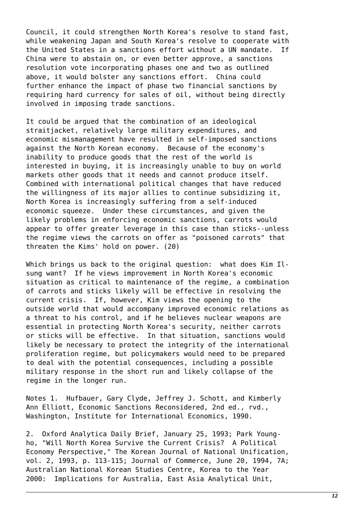Council, it could strengthen North Korea's resolve to stand fast, while weakening Japan and South Korea's resolve to cooperate with the United States in a sanctions effort without a UN mandate. If China were to abstain on, or even better approve, a sanctions resolution vote incorporating phases one and two as outlined above, it would bolster any sanctions effort. China could further enhance the impact of phase two financial sanctions by requiring hard currency for sales of oil, without being directly involved in imposing trade sanctions.

It could be argued that the combination of an ideological straitjacket, relatively large military expenditures, and economic mismanagement have resulted in self-imposed sanctions against the North Korean economy. Because of the economy's inability to produce goods that the rest of the world is interested in buying, it is increasingly unable to buy on world markets other goods that it needs and cannot produce itself. Combined with international political changes that have reduced the willingness of its major allies to continue subsidizing it, North Korea is increasingly suffering from a self-induced economic squeeze. Under these circumstances, and given the likely problems in enforcing economic sanctions, carrots would appear to offer greater leverage in this case than sticks--unless the regime views the carrots on offer as "poisoned carrots" that threaten the Kims' hold on power. (20)

Which brings us back to the original question: what does Kim Ilsung want? If he views improvement in North Korea's economic situation as critical to maintenance of the regime, a combination of carrots and sticks likely will be effective in resolving the current crisis. If, however, Kim views the opening to the outside world that would accompany improved economic relations as a threat to his control, and if he believes nuclear weapons are essential in protecting North Korea's security, neither carrots or sticks will be effective. In that situation, sanctions would likely be necessary to protect the integrity of the international proliferation regime, but policymakers would need to be prepared to deal with the potential consequences, including a possible military response in the short run and likely collapse of the regime in the longer run.

Notes 1. Hufbauer, Gary Clyde, Jeffrey J. Schott, and Kimberly Ann Elliott, Economic Sanctions Reconsidered, 2nd ed., rvd., Washington, Institute for International Economics, 1990.

2. Oxford Analytica Daily Brief, January 25, 1993; Park Youngho, "Will North Korea Survive the Current Crisis? A Political Economy Perspective," The Korean Journal of National Unification, vol. 2, 1993, p. 113-115; Journal of Commerce, June 20, 1994, 7A; Australian National Korean Studies Centre, Korea to the Year 2000: Implications for Australia, East Asia Analytical Unit,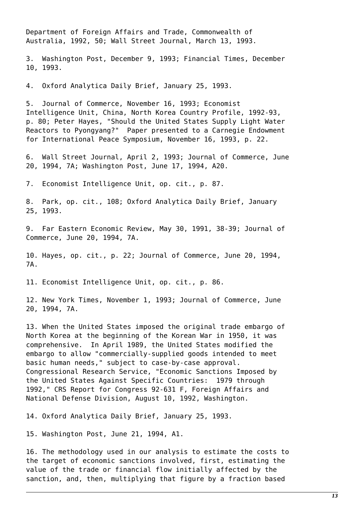Department of Foreign Affairs and Trade, Commonwealth of Australia, 1992, 50; Wall Street Journal, March 13, 1993.

3. Washington Post, December 9, 1993; Financial Times, December 10, 1993.

4. Oxford Analytica Daily Brief, January 25, 1993.

5. Journal of Commerce, November 16, 1993; Economist Intelligence Unit, China, North Korea Country Profile, 1992-93, p. 80; Peter Hayes, "Should the United States Supply Light Water Reactors to Pyongyang?" Paper presented to a Carnegie Endowment for International Peace Symposium, November 16, 1993, p. 22.

6. Wall Street Journal, April 2, 1993; Journal of Commerce, June 20, 1994, 7A; Washington Post, June 17, 1994, A20.

7. Economist Intelligence Unit, op. cit., p. 87.

8. Park, op. cit., 108; Oxford Analytica Daily Brief, January 25, 1993.

9. Far Eastern Economic Review, May 30, 1991, 38-39; Journal of Commerce, June 20, 1994, 7A.

10. Hayes, op. cit., p. 22; Journal of Commerce, June 20, 1994, 7A.

11. Economist Intelligence Unit, op. cit., p. 86.

12. New York Times, November 1, 1993; Journal of Commerce, June 20, 1994, 7A.

13. When the United States imposed the original trade embargo of North Korea at the beginning of the Korean War in 1950, it was comprehensive. In April 1989, the United States modified the embargo to allow "commercially-supplied goods intended to meet basic human needs," subject to case-by-case approval. Congressional Research Service, "Economic Sanctions Imposed by the United States Against Specific Countries: 1979 through 1992," CRS Report for Congress 92-631 F, Foreign Affairs and National Defense Division, August 10, 1992, Washington.

14. Oxford Analytica Daily Brief, January 25, 1993.

15. Washington Post, June 21, 1994, A1.

16. The methodology used in our analysis to estimate the costs to the target of economic sanctions involved, first, estimating the value of the trade or financial flow initially affected by the sanction, and, then, multiplying that figure by a fraction based